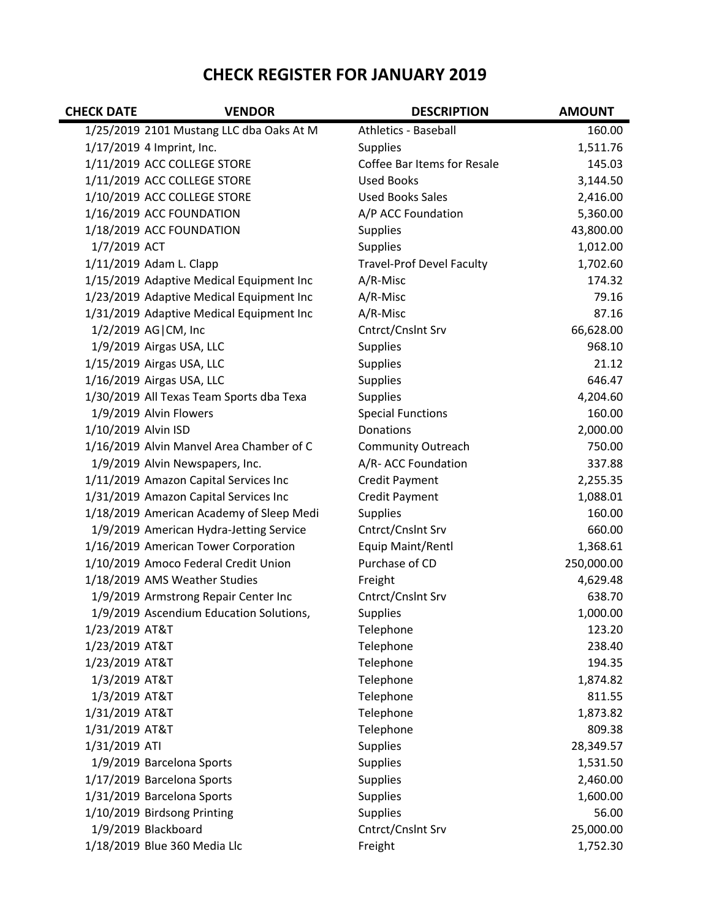## **CHECK REGISTER FOR JANUARY 2019**

| <b>CHECK DATE</b>   | <b>VENDOR</b>                            | <b>DESCRIPTION</b>               | <b>AMOUNT</b> |
|---------------------|------------------------------------------|----------------------------------|---------------|
|                     | 1/25/2019 2101 Mustang LLC dba Oaks At M | Athletics - Baseball             | 160.00        |
|                     | 1/17/2019 4 Imprint, Inc.                | <b>Supplies</b>                  | 1,511.76      |
|                     | 1/11/2019 ACC COLLEGE STORE              | Coffee Bar Items for Resale      | 145.03        |
|                     | 1/11/2019 ACC COLLEGE STORE              | <b>Used Books</b>                | 3,144.50      |
|                     | 1/10/2019 ACC COLLEGE STORE              | <b>Used Books Sales</b>          | 2,416.00      |
|                     | 1/16/2019 ACC FOUNDATION                 | A/P ACC Foundation               | 5,360.00      |
|                     | 1/18/2019 ACC FOUNDATION                 | <b>Supplies</b>                  | 43,800.00     |
| 1/7/2019 ACT        |                                          | <b>Supplies</b>                  | 1,012.00      |
|                     | 1/11/2019 Adam L. Clapp                  | <b>Travel-Prof Devel Faculty</b> | 1,702.60      |
|                     | 1/15/2019 Adaptive Medical Equipment Inc | A/R-Misc                         | 174.32        |
|                     | 1/23/2019 Adaptive Medical Equipment Inc | A/R-Misc                         | 79.16         |
|                     | 1/31/2019 Adaptive Medical Equipment Inc | A/R-Misc                         | 87.16         |
|                     | 1/2/2019 AG CM, Inc                      | Cntrct/Cnslnt Srv                | 66,628.00     |
|                     | 1/9/2019 Airgas USA, LLC                 | <b>Supplies</b>                  | 968.10        |
|                     | 1/15/2019 Airgas USA, LLC                | <b>Supplies</b>                  | 21.12         |
|                     | 1/16/2019 Airgas USA, LLC                | Supplies                         | 646.47        |
|                     | 1/30/2019 All Texas Team Sports dba Texa | <b>Supplies</b>                  | 4,204.60      |
|                     | 1/9/2019 Alvin Flowers                   | <b>Special Functions</b>         | 160.00        |
| 1/10/2019 Alvin ISD |                                          | Donations                        | 2,000.00      |
|                     | 1/16/2019 Alvin Manvel Area Chamber of C | <b>Community Outreach</b>        | 750.00        |
|                     | 1/9/2019 Alvin Newspapers, Inc.          | A/R- ACC Foundation              | 337.88        |
|                     | 1/11/2019 Amazon Capital Services Inc    | <b>Credit Payment</b>            | 2,255.35      |
|                     | 1/31/2019 Amazon Capital Services Inc    | <b>Credit Payment</b>            | 1,088.01      |
|                     | 1/18/2019 American Academy of Sleep Medi | <b>Supplies</b>                  | 160.00        |
|                     | 1/9/2019 American Hydra-Jetting Service  | Cntrct/Cnslnt Srv                | 660.00        |
|                     | 1/16/2019 American Tower Corporation     | Equip Maint/Rentl                | 1,368.61      |
|                     | 1/10/2019 Amoco Federal Credit Union     | Purchase of CD                   | 250,000.00    |
|                     | 1/18/2019 AMS Weather Studies            | Freight                          | 4,629.48      |
|                     | 1/9/2019 Armstrong Repair Center Inc     | Cntrct/Cnslnt Srv                | 638.70        |
|                     | 1/9/2019 Ascendium Education Solutions,  | <b>Supplies</b>                  | 1,000.00      |
| 1/23/2019 AT&T      |                                          | Telephone                        | 123.20        |
| 1/23/2019 AT&T      |                                          | Telephone                        | 238.40        |
| 1/23/2019 AT&T      |                                          | Telephone                        | 194.35        |
| 1/3/2019 AT&T       |                                          | Telephone                        | 1,874.82      |
| 1/3/2019 AT&T       |                                          | Telephone                        | 811.55        |
| 1/31/2019 AT&T      |                                          | Telephone                        | 1,873.82      |
| 1/31/2019 AT&T      |                                          | Telephone                        | 809.38        |
| 1/31/2019 ATI       |                                          | Supplies                         | 28,349.57     |
|                     | 1/9/2019 Barcelona Sports                | Supplies                         | 1,531.50      |
|                     | 1/17/2019 Barcelona Sports               | <b>Supplies</b>                  | 2,460.00      |
|                     | 1/31/2019 Barcelona Sports               | <b>Supplies</b>                  | 1,600.00      |
|                     | 1/10/2019 Birdsong Printing              | <b>Supplies</b>                  | 56.00         |
|                     | 1/9/2019 Blackboard                      | Cntrct/Cnslnt Srv                | 25,000.00     |
|                     | 1/18/2019 Blue 360 Media Llc             | Freight                          | 1,752.30      |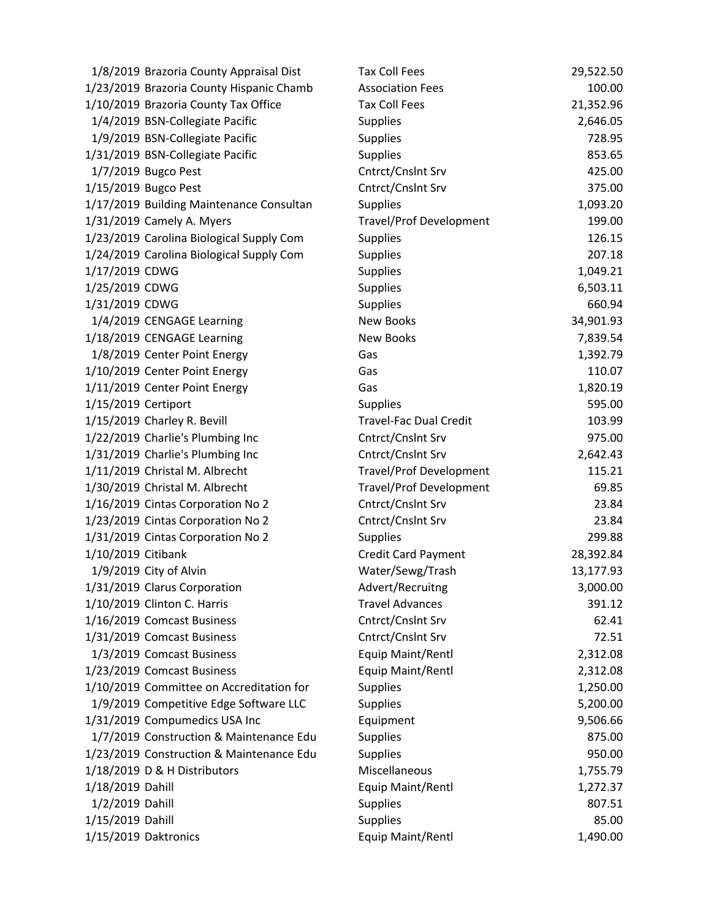| 1/8/2019 Brazoria County Appraisal Dist  | <b>Tax Coll Fees</b>           | 29,522.50 |
|------------------------------------------|--------------------------------|-----------|
| 1/23/2019 Brazoria County Hispanic Chamb | <b>Association Fees</b>        | 100.00    |
| 1/10/2019 Brazoria County Tax Office     | <b>Tax Coll Fees</b>           | 21,352.96 |
| 1/4/2019 BSN-Collegiate Pacific          | <b>Supplies</b>                | 2,646.05  |
| 1/9/2019 BSN-Collegiate Pacific          | <b>Supplies</b>                | 728.95    |
| 1/31/2019 BSN-Collegiate Pacific         | <b>Supplies</b>                | 853.65    |
| 1/7/2019 Bugco Pest                      | Cntrct/Cnslnt Srv              | 425.00    |
| 1/15/2019 Bugco Pest                     | Cntrct/Cnslnt Srv              | 375.00    |
| 1/17/2019 Building Maintenance Consultan | <b>Supplies</b>                | 1,093.20  |
| 1/31/2019 Camely A. Myers                | <b>Travel/Prof Development</b> | 199.00    |
| 1/23/2019 Carolina Biological Supply Com | <b>Supplies</b>                | 126.15    |
| 1/24/2019 Carolina Biological Supply Com | <b>Supplies</b>                | 207.18    |
| 1/17/2019 CDWG                           | <b>Supplies</b>                | 1,049.21  |
| 1/25/2019 CDWG                           | <b>Supplies</b>                | 6,503.11  |
| 1/31/2019 CDWG                           | <b>Supplies</b>                | 660.94    |
| 1/4/2019 CENGAGE Learning                | <b>New Books</b>               | 34,901.93 |
| 1/18/2019 CENGAGE Learning               | <b>New Books</b>               | 7,839.54  |
| 1/8/2019 Center Point Energy             | Gas                            | 1,392.79  |
| 1/10/2019 Center Point Energy            | Gas                            | 110.07    |
| 1/11/2019 Center Point Energy            | Gas                            | 1,820.19  |
| 1/15/2019 Certiport                      | <b>Supplies</b>                | 595.00    |
| 1/15/2019 Charley R. Bevill              | <b>Travel-Fac Dual Credit</b>  | 103.99    |
| 1/22/2019 Charlie's Plumbing Inc         | Cntrct/Cnslnt Srv              | 975.00    |
| 1/31/2019 Charlie's Plumbing Inc         | Cntrct/Cnslnt Srv              | 2,642.43  |
| 1/11/2019 Christal M. Albrecht           | <b>Travel/Prof Development</b> | 115.21    |
| 1/30/2019 Christal M. Albrecht           | <b>Travel/Prof Development</b> | 69.85     |
| 1/16/2019 Cintas Corporation No 2        | Cntrct/Cnslnt Srv              | 23.84     |
| 1/23/2019 Cintas Corporation No 2        | Cntrct/Cnslnt Srv              | 23.84     |
| 1/31/2019 Cintas Corporation No 2        | <b>Supplies</b>                | 299.88    |
| 1/10/2019 Citibank                       | Credit Card Payment            | 28,392.84 |
| 1/9/2019 City of Alvin                   | Water/Sewg/Trash               | 13,177.93 |
| 1/31/2019 Clarus Corporation             | Advert/Recruitng               | 3,000.00  |
| 1/10/2019 Clinton C. Harris              | <b>Travel Advances</b>         | 391.12    |
| 1/16/2019 Comcast Business               | Cntrct/Cnslnt Srv              | 62.41     |
| 1/31/2019 Comcast Business               | Cntrct/Cnslnt Srv              | 72.51     |
| 1/3/2019 Comcast Business                | Equip Maint/Rentl              | 2,312.08  |
| 1/23/2019 Comcast Business               | Equip Maint/Rentl              | 2,312.08  |
| 1/10/2019 Committee on Accreditation for | <b>Supplies</b>                | 1,250.00  |
| 1/9/2019 Competitive Edge Software LLC   | <b>Supplies</b>                | 5,200.00  |
| 1/31/2019 Compumedics USA Inc            | Equipment                      | 9,506.66  |
| 1/7/2019 Construction & Maintenance Edu  | <b>Supplies</b>                | 875.00    |
| 1/23/2019 Construction & Maintenance Edu | <b>Supplies</b>                | 950.00    |
| 1/18/2019 D & H Distributors             | Miscellaneous                  | 1,755.79  |
| 1/18/2019 Dahill                         | Equip Maint/Rentl              | 1,272.37  |
| 1/2/2019 Dahill                          | <b>Supplies</b>                | 807.51    |
| 1/15/2019 Dahill                         | <b>Supplies</b>                | 85.00     |
| 1/15/2019 Daktronics                     | Equip Maint/Rentl              | 1,490.00  |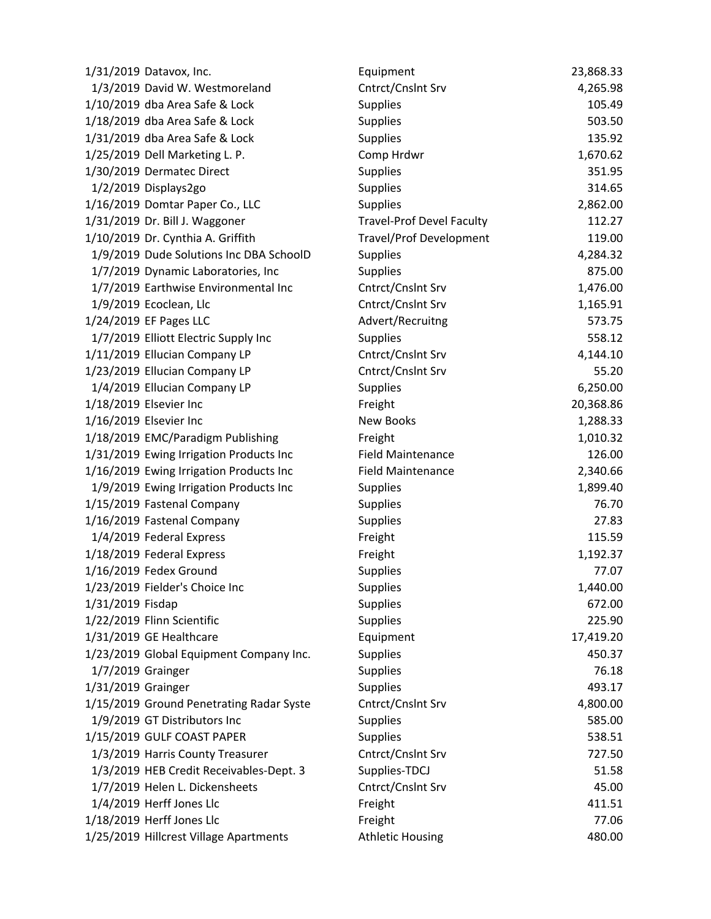| 1/31/2019 Datavox, Inc.                  | Equipment                        | 23,868.33 |
|------------------------------------------|----------------------------------|-----------|
| 1/3/2019 David W. Westmoreland           | Cntrct/Cnslnt Srv                | 4,265.98  |
| 1/10/2019 dba Area Safe & Lock           | <b>Supplies</b>                  | 105.49    |
| 1/18/2019 dba Area Safe & Lock           | Supplies                         | 503.50    |
| 1/31/2019 dba Area Safe & Lock           | <b>Supplies</b>                  | 135.92    |
| 1/25/2019 Dell Marketing L. P.           | Comp Hrdwr                       | 1,670.62  |
| 1/30/2019 Dermatec Direct                | <b>Supplies</b>                  | 351.95    |
| 1/2/2019 Displays2go                     | <b>Supplies</b>                  | 314.65    |
| 1/16/2019 Domtar Paper Co., LLC          | Supplies                         | 2,862.00  |
| 1/31/2019 Dr. Bill J. Waggoner           | <b>Travel-Prof Devel Faculty</b> | 112.27    |
| 1/10/2019 Dr. Cynthia A. Griffith        | <b>Travel/Prof Development</b>   | 119.00    |
| 1/9/2019 Dude Solutions Inc DBA SchoolD  | <b>Supplies</b>                  | 4,284.32  |
| 1/7/2019 Dynamic Laboratories, Inc       | <b>Supplies</b>                  | 875.00    |
| 1/7/2019 Earthwise Environmental Inc     | Cntrct/Cnslnt Srv                | 1,476.00  |
| 1/9/2019 Ecoclean, Llc                   | Cntrct/Cnslnt Srv                | 1,165.91  |
| 1/24/2019 EF Pages LLC                   | Advert/Recruitng                 | 573.75    |
| 1/7/2019 Elliott Electric Supply Inc     | <b>Supplies</b>                  | 558.12    |
| 1/11/2019 Ellucian Company LP            | Cntrct/Cnslnt Srv                | 4,144.10  |
| 1/23/2019 Ellucian Company LP            | Cntrct/Cnslnt Srv                | 55.20     |
| 1/4/2019 Ellucian Company LP             | <b>Supplies</b>                  | 6,250.00  |
| 1/18/2019 Elsevier Inc                   | Freight                          | 20,368.86 |
| 1/16/2019 Elsevier Inc                   | <b>New Books</b>                 | 1,288.33  |
| 1/18/2019 EMC/Paradigm Publishing        | Freight                          | 1,010.32  |
| 1/31/2019 Ewing Irrigation Products Inc  | <b>Field Maintenance</b>         | 126.00    |
| 1/16/2019 Ewing Irrigation Products Inc  | <b>Field Maintenance</b>         | 2,340.66  |
| 1/9/2019 Ewing Irrigation Products Inc   | <b>Supplies</b>                  | 1,899.40  |
| 1/15/2019 Fastenal Company               | <b>Supplies</b>                  | 76.70     |
| 1/16/2019 Fastenal Company               | <b>Supplies</b>                  | 27.83     |
| 1/4/2019 Federal Express                 | Freight                          | 115.59    |
| 1/18/2019 Federal Express                | Freight                          | 1,192.37  |
| 1/16/2019 Fedex Ground                   | <b>Supplies</b>                  | 77.07     |
| 1/23/2019 Fielder's Choice Inc           | Supplies                         | 1,440.00  |
| 1/31/2019 Fisdap                         | <b>Supplies</b>                  | 672.00    |
| 1/22/2019 Flinn Scientific               | <b>Supplies</b>                  | 225.90    |
| 1/31/2019 GE Healthcare                  | Equipment                        | 17,419.20 |
| 1/23/2019 Global Equipment Company Inc.  | <b>Supplies</b>                  | 450.37    |
| 1/7/2019 Grainger                        | <b>Supplies</b>                  | 76.18     |
| 1/31/2019 Grainger                       | <b>Supplies</b>                  | 493.17    |
| 1/15/2019 Ground Penetrating Radar Syste | Cntrct/Cnslnt Srv                | 4,800.00  |
| 1/9/2019 GT Distributors Inc             | <b>Supplies</b>                  | 585.00    |
| 1/15/2019 GULF COAST PAPER               | <b>Supplies</b>                  | 538.51    |
| 1/3/2019 Harris County Treasurer         | Cntrct/Cnslnt Srv                | 727.50    |
| 1/3/2019 HEB Credit Receivables-Dept. 3  | Supplies-TDCJ                    | 51.58     |
| 1/7/2019 Helen L. Dickensheets           | Cntrct/Cnslnt Srv                | 45.00     |
| 1/4/2019 Herff Jones Llc                 | Freight                          | 411.51    |
| 1/18/2019 Herff Jones Llc                | Freight                          | 77.06     |
| 1/25/2019 Hillcrest Village Apartments   | <b>Athletic Housing</b>          | 480.00    |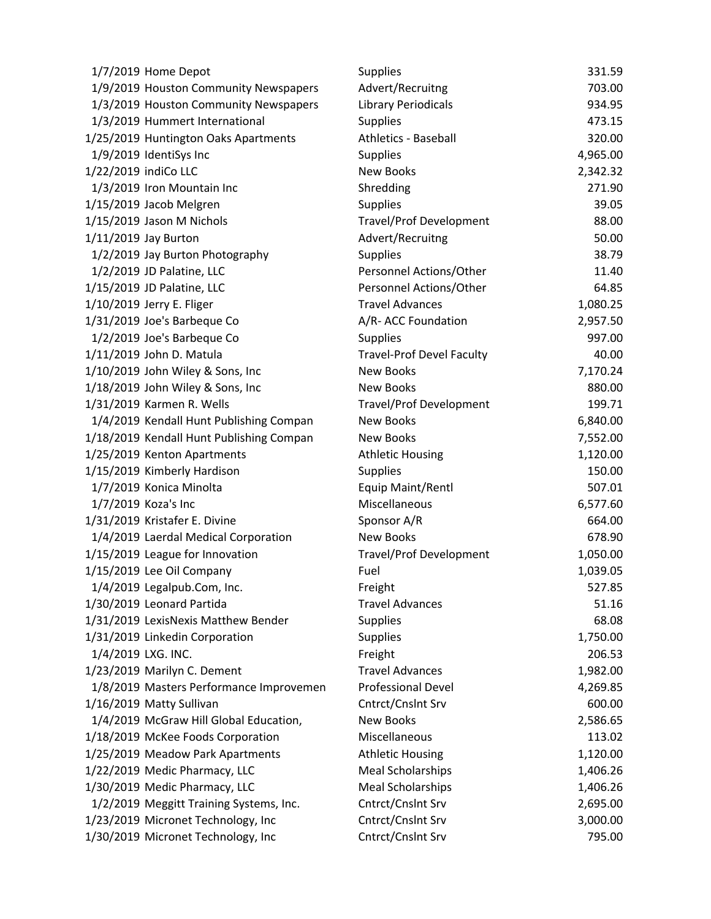|                      | 1/7/2019 Home Depot                      | <b>Supplies</b>                  | 331.59   |
|----------------------|------------------------------------------|----------------------------------|----------|
|                      | 1/9/2019 Houston Community Newspapers    | Advert/Recruitng                 | 703.00   |
|                      | 1/3/2019 Houston Community Newspapers    | <b>Library Periodicals</b>       | 934.95   |
|                      | 1/3/2019 Hummert International           | <b>Supplies</b>                  | 473.15   |
|                      | 1/25/2019 Huntington Oaks Apartments     | <b>Athletics - Baseball</b>      | 320.00   |
|                      | 1/9/2019 IdentiSys Inc                   | <b>Supplies</b>                  | 4,965.00 |
| 1/22/2019 indiCo LLC |                                          | <b>New Books</b>                 | 2,342.32 |
|                      | 1/3/2019 Iron Mountain Inc               | Shredding                        | 271.90   |
|                      | 1/15/2019 Jacob Melgren                  | Supplies                         | 39.05    |
|                      | 1/15/2019 Jason M Nichols                | <b>Travel/Prof Development</b>   | 88.00    |
|                      | 1/11/2019 Jay Burton                     | Advert/Recruitng                 | 50.00    |
|                      | 1/2/2019 Jay Burton Photography          | <b>Supplies</b>                  | 38.79    |
|                      | 1/2/2019 JD Palatine, LLC                | Personnel Actions/Other          | 11.40    |
|                      | 1/15/2019 JD Palatine, LLC               | Personnel Actions/Other          | 64.85    |
|                      | 1/10/2019 Jerry E. Fliger                | <b>Travel Advances</b>           | 1,080.25 |
|                      | 1/31/2019 Joe's Barbeque Co              | A/R- ACC Foundation              | 2,957.50 |
|                      | 1/2/2019 Joe's Barbeque Co               | <b>Supplies</b>                  | 997.00   |
|                      | 1/11/2019 John D. Matula                 | <b>Travel-Prof Devel Faculty</b> | 40.00    |
|                      | 1/10/2019 John Wiley & Sons, Inc         | <b>New Books</b>                 | 7,170.24 |
|                      | 1/18/2019 John Wiley & Sons, Inc         | <b>New Books</b>                 | 880.00   |
|                      | 1/31/2019 Karmen R. Wells                | <b>Travel/Prof Development</b>   | 199.71   |
|                      | 1/4/2019 Kendall Hunt Publishing Compan  | <b>New Books</b>                 | 6,840.00 |
|                      | 1/18/2019 Kendall Hunt Publishing Compan | New Books                        | 7,552.00 |
|                      | 1/25/2019 Kenton Apartments              | <b>Athletic Housing</b>          | 1,120.00 |
|                      | 1/15/2019 Kimberly Hardison              | <b>Supplies</b>                  | 150.00   |
|                      | 1/7/2019 Konica Minolta                  | Equip Maint/Rentl                | 507.01   |
|                      | 1/7/2019 Koza's Inc                      | Miscellaneous                    | 6,577.60 |
|                      | 1/31/2019 Kristafer E. Divine            | Sponsor A/R                      | 664.00   |
|                      | 1/4/2019 Laerdal Medical Corporation     | <b>New Books</b>                 | 678.90   |
|                      | 1/15/2019 League for Innovation          | <b>Travel/Prof Development</b>   | 1,050.00 |
|                      | 1/15/2019 Lee Oil Company                | Fuel                             | 1,039.05 |
|                      | 1/4/2019 Legalpub.Com, Inc.              | Freight                          | 527.85   |
|                      | 1/30/2019 Leonard Partida                | <b>Travel Advances</b>           | 51.16    |
|                      | 1/31/2019 LexisNexis Matthew Bender      | <b>Supplies</b>                  | 68.08    |
|                      | 1/31/2019 Linkedin Corporation           | <b>Supplies</b>                  | 1,750.00 |
|                      | 1/4/2019 LXG. INC.                       | Freight                          | 206.53   |
|                      | 1/23/2019 Marilyn C. Dement              | <b>Travel Advances</b>           | 1,982.00 |
|                      | 1/8/2019 Masters Performance Improvemen  | <b>Professional Devel</b>        | 4,269.85 |
|                      | 1/16/2019 Matty Sullivan                 | Cntrct/Cnslnt Srv                | 600.00   |
|                      | 1/4/2019 McGraw Hill Global Education,   | <b>New Books</b>                 | 2,586.65 |
|                      | 1/18/2019 McKee Foods Corporation        | Miscellaneous                    | 113.02   |
|                      | 1/25/2019 Meadow Park Apartments         | <b>Athletic Housing</b>          | 1,120.00 |
|                      | 1/22/2019 Medic Pharmacy, LLC            | <b>Meal Scholarships</b>         | 1,406.26 |
|                      | 1/30/2019 Medic Pharmacy, LLC            | <b>Meal Scholarships</b>         | 1,406.26 |
|                      | 1/2/2019 Meggitt Training Systems, Inc.  | Cntrct/Cnslnt Srv                | 2,695.00 |
|                      | 1/23/2019 Micronet Technology, Inc       | Cntrct/Cnslnt Srv                | 3,000.00 |
|                      | 1/30/2019 Micronet Technology, Inc       | Cntrct/Cnslnt Srv                | 795.00   |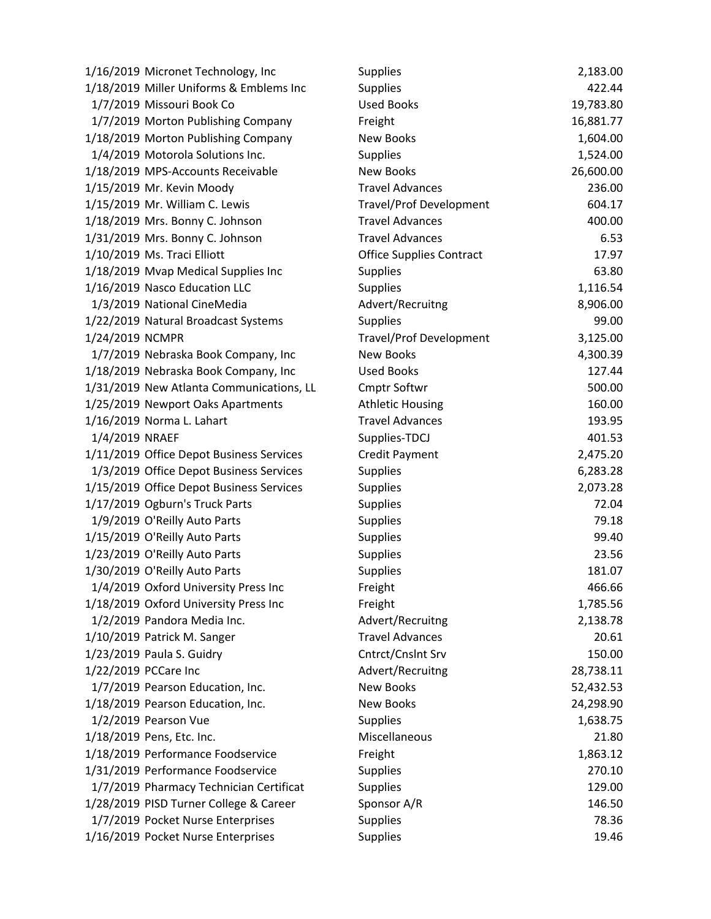| 1/16/2019 Micronet Technology, Inc       | <b>Supplies</b>                 | 2,183.00  |
|------------------------------------------|---------------------------------|-----------|
| 1/18/2019 Miller Uniforms & Emblems Inc  | <b>Supplies</b>                 | 422.44    |
| 1/7/2019 Missouri Book Co                | <b>Used Books</b>               | 19,783.80 |
| 1/7/2019 Morton Publishing Company       | Freight                         | 16,881.77 |
| 1/18/2019 Morton Publishing Company      | New Books                       | 1,604.00  |
| 1/4/2019 Motorola Solutions Inc.         | <b>Supplies</b>                 | 1,524.00  |
| 1/18/2019 MPS-Accounts Receivable        | New Books                       | 26,600.00 |
| 1/15/2019 Mr. Kevin Moody                | <b>Travel Advances</b>          | 236.00    |
| 1/15/2019 Mr. William C. Lewis           | <b>Travel/Prof Development</b>  | 604.17    |
| 1/18/2019 Mrs. Bonny C. Johnson          | <b>Travel Advances</b>          | 400.00    |
| 1/31/2019 Mrs. Bonny C. Johnson          | <b>Travel Advances</b>          | 6.53      |
| 1/10/2019 Ms. Traci Elliott              | <b>Office Supplies Contract</b> | 17.97     |
| 1/18/2019 Mvap Medical Supplies Inc      | <b>Supplies</b>                 | 63.80     |
| 1/16/2019 Nasco Education LLC            | <b>Supplies</b>                 | 1,116.54  |
| 1/3/2019 National CineMedia              | Advert/Recruitng                | 8,906.00  |
| 1/22/2019 Natural Broadcast Systems      | <b>Supplies</b>                 | 99.00     |
| 1/24/2019 NCMPR                          | <b>Travel/Prof Development</b>  | 3,125.00  |
| 1/7/2019 Nebraska Book Company, Inc      | New Books                       | 4,300.39  |
| 1/18/2019 Nebraska Book Company, Inc     | <b>Used Books</b>               | 127.44    |
| 1/31/2019 New Atlanta Communications, LL | <b>Cmptr Softwr</b>             | 500.00    |
| 1/25/2019 Newport Oaks Apartments        | <b>Athletic Housing</b>         | 160.00    |
| 1/16/2019 Norma L. Lahart                | <b>Travel Advances</b>          | 193.95    |
| 1/4/2019 NRAEF                           | Supplies-TDCJ                   | 401.53    |
| 1/11/2019 Office Depot Business Services | <b>Credit Payment</b>           | 2,475.20  |
| 1/3/2019 Office Depot Business Services  | <b>Supplies</b>                 | 6,283.28  |
| 1/15/2019 Office Depot Business Services | <b>Supplies</b>                 | 2,073.28  |
| 1/17/2019 Ogburn's Truck Parts           | <b>Supplies</b>                 | 72.04     |
| 1/9/2019 O'Reilly Auto Parts             | <b>Supplies</b>                 | 79.18     |
| 1/15/2019 O'Reilly Auto Parts            | <b>Supplies</b>                 | 99.40     |
| 1/23/2019 O'Reilly Auto Parts            | Supplies                        | 23.56     |
| 1/30/2019 O'Reilly Auto Parts            | <b>Supplies</b>                 | 181.07    |
| 1/4/2019 Oxford University Press Inc     | Freight                         | 466.66    |
| 1/18/2019 Oxford University Press Inc    | Freight                         | 1,785.56  |
| 1/2/2019 Pandora Media Inc.              | Advert/Recruitng                | 2,138.78  |
| 1/10/2019 Patrick M. Sanger              | <b>Travel Advances</b>          | 20.61     |
| 1/23/2019 Paula S. Guidry                | Cntrct/Cnslnt Srv               | 150.00    |
| 1/22/2019 PCCare Inc                     | Advert/Recruitng                | 28,738.11 |
| 1/7/2019 Pearson Education, Inc.         | <b>New Books</b>                | 52,432.53 |
| 1/18/2019 Pearson Education, Inc.        | <b>New Books</b>                | 24,298.90 |
| 1/2/2019 Pearson Vue                     | <b>Supplies</b>                 | 1,638.75  |
| 1/18/2019 Pens, Etc. Inc.                | Miscellaneous                   | 21.80     |
| 1/18/2019 Performance Foodservice        | Freight                         | 1,863.12  |
| 1/31/2019 Performance Foodservice        | <b>Supplies</b>                 | 270.10    |
| 1/7/2019 Pharmacy Technician Certificat  | <b>Supplies</b>                 | 129.00    |
| 1/28/2019 PISD Turner College & Career   | Sponsor A/R                     | 146.50    |
| 1/7/2019 Pocket Nurse Enterprises        | <b>Supplies</b>                 | 78.36     |
| 1/16/2019 Pocket Nurse Enterprises       | Supplies                        | 19.46     |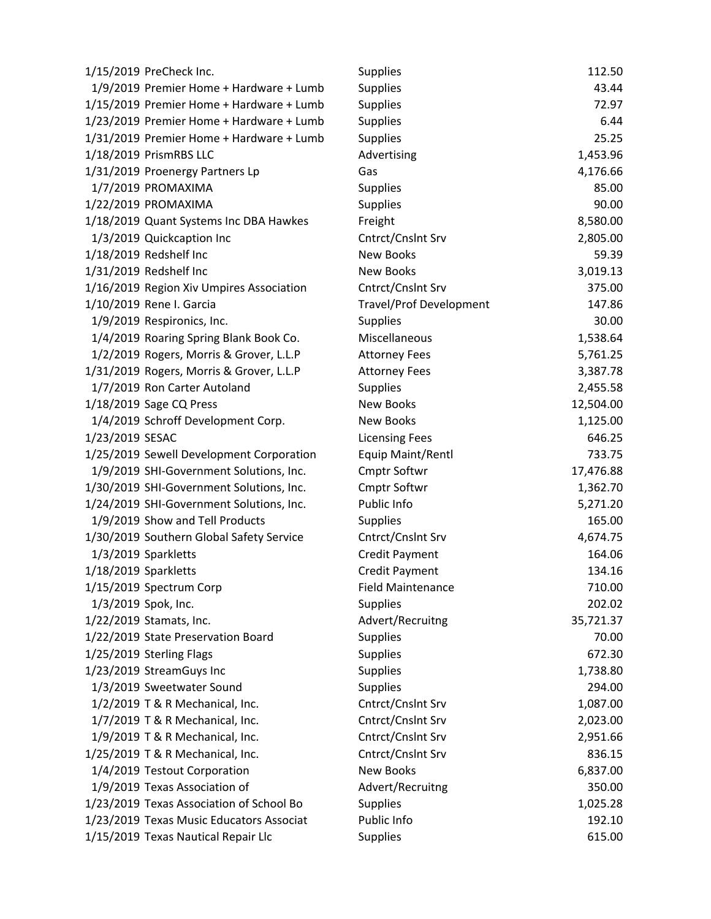| 1/15/2019 PreCheck Inc.                  | <b>Supplies</b>                | 112.50    |
|------------------------------------------|--------------------------------|-----------|
| 1/9/2019 Premier Home + Hardware + Lumb  | <b>Supplies</b>                | 43.44     |
| 1/15/2019 Premier Home + Hardware + Lumb | <b>Supplies</b>                | 72.97     |
| 1/23/2019 Premier Home + Hardware + Lumb | <b>Supplies</b>                | 6.44      |
| 1/31/2019 Premier Home + Hardware + Lumb | <b>Supplies</b>                | 25.25     |
| 1/18/2019 PrismRBS LLC                   | Advertising                    | 1,453.96  |
| 1/31/2019 Proenergy Partners Lp          | Gas                            | 4,176.66  |
| 1/7/2019 PROMAXIMA                       | <b>Supplies</b>                | 85.00     |
| 1/22/2019 PROMAXIMA                      | <b>Supplies</b>                | 90.00     |
| 1/18/2019 Quant Systems Inc DBA Hawkes   | Freight                        | 8,580.00  |
| 1/3/2019 Quickcaption Inc                | Cntrct/Cnslnt Srv              | 2,805.00  |
| 1/18/2019 Redshelf Inc                   | <b>New Books</b>               | 59.39     |
| 1/31/2019 Redshelf Inc                   | <b>New Books</b>               | 3,019.13  |
| 1/16/2019 Region Xiv Umpires Association | Cntrct/Cnslnt Srv              | 375.00    |
| 1/10/2019 Rene I. Garcia                 | <b>Travel/Prof Development</b> | 147.86    |
| 1/9/2019 Respironics, Inc.               | <b>Supplies</b>                | 30.00     |
| 1/4/2019 Roaring Spring Blank Book Co.   | Miscellaneous                  | 1,538.64  |
| 1/2/2019 Rogers, Morris & Grover, L.L.P  | <b>Attorney Fees</b>           | 5,761.25  |
| 1/31/2019 Rogers, Morris & Grover, L.L.P | <b>Attorney Fees</b>           | 3,387.78  |
| 1/7/2019 Ron Carter Autoland             | <b>Supplies</b>                | 2,455.58  |
| 1/18/2019 Sage CQ Press                  | New Books                      | 12,504.00 |
| 1/4/2019 Schroff Development Corp.       | New Books                      | 1,125.00  |
| 1/23/2019 SESAC                          | <b>Licensing Fees</b>          | 646.25    |
| 1/25/2019 Sewell Development Corporation | Equip Maint/Rentl              | 733.75    |
| 1/9/2019 SHI-Government Solutions, Inc.  | <b>Cmptr Softwr</b>            | 17,476.88 |
| 1/30/2019 SHI-Government Solutions, Inc. | <b>Cmptr Softwr</b>            | 1,362.70  |
| 1/24/2019 SHI-Government Solutions, Inc. | Public Info                    | 5,271.20  |
| 1/9/2019 Show and Tell Products          | <b>Supplies</b>                | 165.00    |
| 1/30/2019 Southern Global Safety Service | Cntrct/Cnslnt Srv              | 4,674.75  |
| 1/3/2019 Sparkletts                      | <b>Credit Payment</b>          | 164.06    |
| 1/18/2019 Sparkletts                     | <b>Credit Payment</b>          | 134.16    |
| 1/15/2019 Spectrum Corp                  | Field Maintenance              | 710.00    |
| 1/3/2019 Spok, Inc.                      | <b>Supplies</b>                | 202.02    |
| 1/22/2019 Stamats, Inc.                  | Advert/Recruitng               | 35,721.37 |
| 1/22/2019 State Preservation Board       | <b>Supplies</b>                | 70.00     |
| 1/25/2019 Sterling Flags                 | <b>Supplies</b>                | 672.30    |
| 1/23/2019 StreamGuys Inc                 | <b>Supplies</b>                | 1,738.80  |
| 1/3/2019 Sweetwater Sound                | <b>Supplies</b>                | 294.00    |
| 1/2/2019 T & R Mechanical, Inc.          | Cntrct/Cnslnt Srv              | 1,087.00  |
| 1/7/2019 T & R Mechanical, Inc.          | Cntrct/Cnslnt Srv              | 2,023.00  |
| 1/9/2019 T & R Mechanical, Inc.          | Cntrct/Cnslnt Srv              | 2,951.66  |
| 1/25/2019 T & R Mechanical, Inc.         | Cntrct/Cnslnt Srv              | 836.15    |
| 1/4/2019 Testout Corporation             | <b>New Books</b>               | 6,837.00  |
| 1/9/2019 Texas Association of            | Advert/Recruitng               | 350.00    |
| 1/23/2019 Texas Association of School Bo | <b>Supplies</b>                | 1,025.28  |
| 1/23/2019 Texas Music Educators Associat | Public Info                    | 192.10    |
| 1/15/2019 Texas Nautical Repair Llc      | Supplies                       | 615.00    |